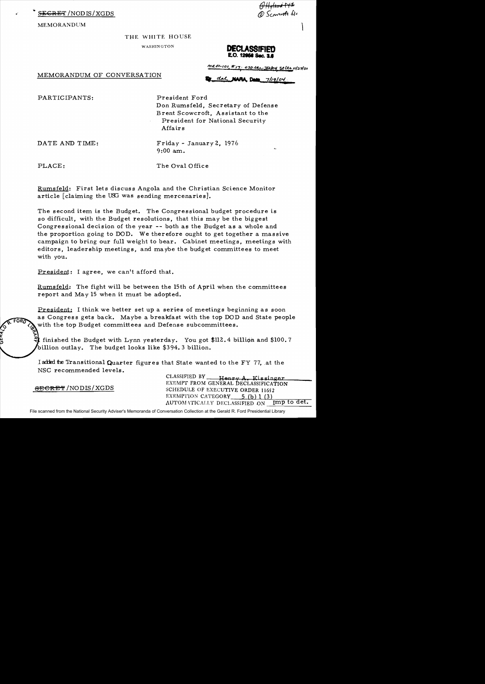<del>RE</del>T/NODIS/XGDS

MEMORANDUM

THE WHITE HOUSE

WASHINGTON

<del>v riginiva 172</del><br>D Scowo<del>rdi</del> fil

**E.O. 12058 Sec. 3.8** 

MEMORANDUM OF CONVERSATION

 $ma01-101$ , E,7. 050 lev 3/2/04 st Lts 11/27/01

dal NAPA Data 7/19/04

PARTICIPANTS:

President Ford Don Rumsfeld, Secretary of Defense Brent Scowcroft, Assistant to the President for National Security Affairs

DATE AND TIME:

 $Friday - January 2, 1976$  $9:00$  am.

PLACE:

The Oval Office

Rumsfeld: First lets discuss Angola and the Christian Science Monitor article [claiming the USG was sending mercenaries].

The second item is the Budget. The Congressional budget procedure is so difficult, with the Budget resolutions, that this may be the biggest Congressional decision of the year -- both as the Budget as a whole and the proportion going to DOD. We therefore ought to get together a massive campaign to bring our full weight to bear. Cabinet meetings, meetings with editors, leadership meetings, and maybe the budget committees to meet with you.

President: I agree, we can't afford that.

Rumsfeld: The fight will be between the 15th of April when the committees report and May 15 when it must be adopted.

President: I think we better set up a series of meetings beginning as soon as Congress gets back. Maybe a breakfast with the top DOD and State people with the top Budget committees and Defense subcommittees.

l finished the Budget with Lynn yesterday. You got \$112.4 billion and \$100.7 billion outlay. The budget looks like \$394.3 billion.

I added the Transitional Quarter figures that State wanted to the FY 77, at the NSC recommended levels.

> CLASSIFIED BY Henry A. Kissinger EXEMPT FROM GENERAL DECLASSIFICATION SCHEDULE OF EXECUTIVE ORDER 11652 EXEMPTION CATEGORY 5 (b) 1 (3) AUTOMATICALLY DECLASSIFIED ON Imp to det.

**SECRET/NODIS/XGDS**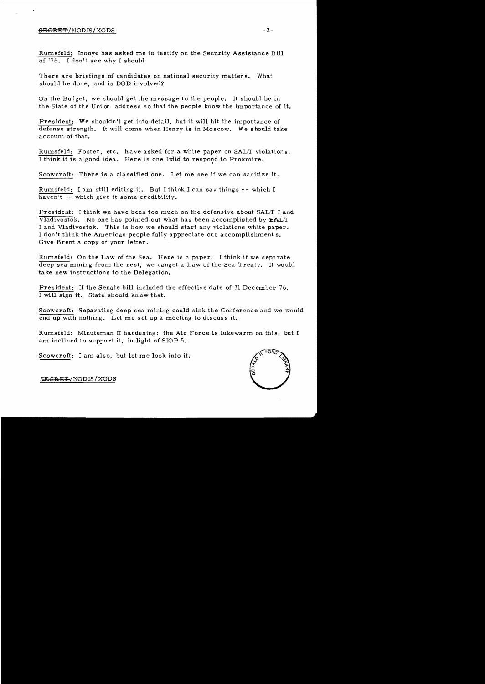## **SECftE"P** /NODlS/XGDS **-2**

Rumsfeld: Inouye has asked me to testify on the Security Assistance Bill of '76. I don't see why I should

There are briefings of candidates on national security matters. What should be done, and is DOD involved?

On the Budget, we should get the message to the people. It should be in the State of the Union address so that the people know the importance of it.

President: We shouldn't get into detail, but it will hit the importance of defense strength. It will come when Henry is in Moscow. We should take account of that.

Rumsfeld: Foster, etc. have asked for a white paper on SALT violations. I think it is a good idea. Here is one I did to respond to Proxmire.

Scowcroft: There is a classified one. Let me see if we can sanitize it.

Rumsfeld: I am still editing it. But I think I can say things -- which I haven't **--** which give it some credibility.

President: I think we have been too much on the defensive about SALT I and Vladivostok. No one has pointed out what has been accomplished by SALT I and Vladivostok. This is how we should start any violations white paper. I don't think the American people fully appreciate our accomplishment s. Give Brent a copy of your letter.

Rumsfeld: On the Law of the Sea. Here is a paper. I think if we separate deep sea mining from the rest, we canget a Law of the Sea Treaty. It would take new instructions to the Delegation.

President: If the Senate bill included the effective date of 31 December 76, I will sign it. State should kn ow that.

Scowcroft: Separating deep sea mining could sink the Conference and we would end up with nothing. Let me set up a meeting to discuss it.

Rumsfeld: Minuteman II hardening: the Air Force is lukewarm on this, but I am inclined to support it, in light of SlOP 5.

Scowcroft: I am also, but let me look into it.



SECRE<del>T</del>/NODIS/XGDS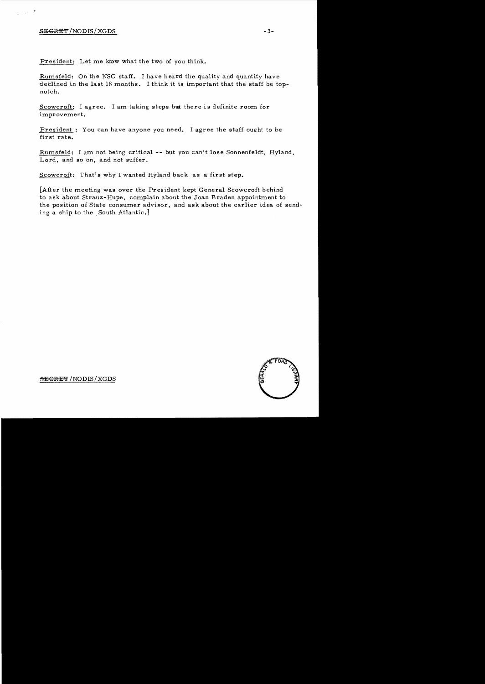## $SEGRET/NODIS/XGDS$  -3-

President: Let me know what the two of you think.

Rumsfeld: On the NSC staff. I have heard the quality and quantity have declined in the last 18 months. I think it is important that the staff be topnotch.

Scowcroft: I agree. I am taking steps but there is definite room for improvement.

President: You can have anyone you need. I agree the staff ought to be first rate.

Rumsfeld: I am not being critical -- but you can't lose Sonnenfeldt, Hyland, Lord, and so on, and not suffer.

Scowcroft: That's why I wanted Hyland back as a first step.

[After the meeting was over the President kept General Scowcroft behind to ask about Strauz-Hupe, complain about the Joan Braden appointment to the position of State consumer advisor, and ask about the earlier idea of sending a ship to the South Atlantic.]



SEGRET / NODIS / XGDS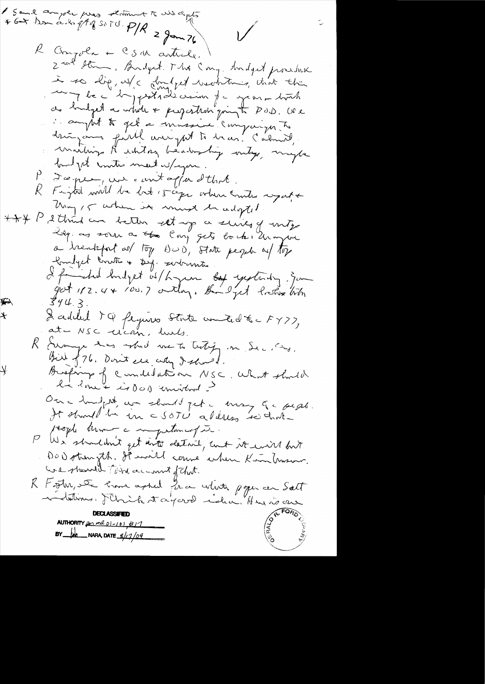Sand amper pros résiment to unidants  $*6+122.2549300. P/R = 3220$  $\bigvee$ R Chrisola + CSM article. I<br>2 m<sup>p</sup> Ham, Bryt The Cong. Andyed proche i so dig, us/c dought weaknown, white the le la postade comme je grant bort de budget a while + projection quin to POD. We i aught to get a invessive compaign to dringann faith averytet to bran! (about), build the contre meet w/agen. P. Dœque, une contagion dthat Fight will be lost 15 cape orber countes agate  $\mathcal{R}_-$ Uning 15 when it must be adopted + + + P 2 think an better est up a suive of unty a trenkfort as top DOD, State people of top builget courtes of sig. sectountes. I find hudget is hopen by yesterdy, som  $344.3.$ Laddel 74 féguros state conted x = FY77,  $\star$ at-NSC cican, lurs. R Evampe des arbeil me to testify in Sec, and. Bir p76. Don't see ally I should. ¥ Burfaup of Comdidation NSC. What should l'é lone + is dad convitad ? Our a hundred aux should get a trong que sesse. It should be in a sort aldress sei trate reogle known a myatamagie. We shouldn't get into detail, unt it will but DOD strength. It mill cours when Kim trusons. Care should Time account of That. R Fosta, De 2001 april Jea vitate pope en Salt indutures, Mich tayered idea, Hui is an AUTHORITY  $\mu_1$  ma  $01-101$ ,  $\mu_1$  $BY$   $1/2/09$  NARA, DATE  $8/17/09$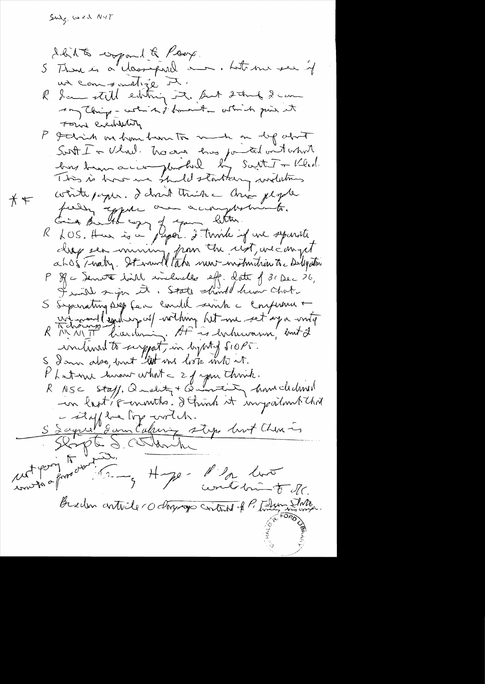$\mathsf{SM}_{\mathsf{S}}$  and  $\mathsf{N} \vee \mathsf{T}$ 

dhit to copand & Poox. 5 Than is a cleangeral am. Let me see if us com sometize R. Sam still einting it. But 2 time 2 can  $\ell'$ they thing - which is from the other to give it Found eventuality P godin't in home been to make on dy about Sont I a Vlnd. No avec tres pourted ont what This is how we shall starting withins contropogue. I don't trien and people  $*$ peely epper and accomptationts. Lieu Balta avec Japon d'Etra est une separation P Rc Jenvit bill includes eff. Lette f 3. Dec 26, I will sign it. State should hum Chate Separating siep fea condit sink a confirma +  $S_{-}$ winning louding of withing hit me set aga writer Phatone human what a 2 of your think.<br>R NSC Staff, Quality + Quantity hand clubes in last's connects : I think it impairmental S Saged Som Eufenin step mit China unt pory to under of the other of the se- Planter of Braden anticle ro daysage control of P. Them State